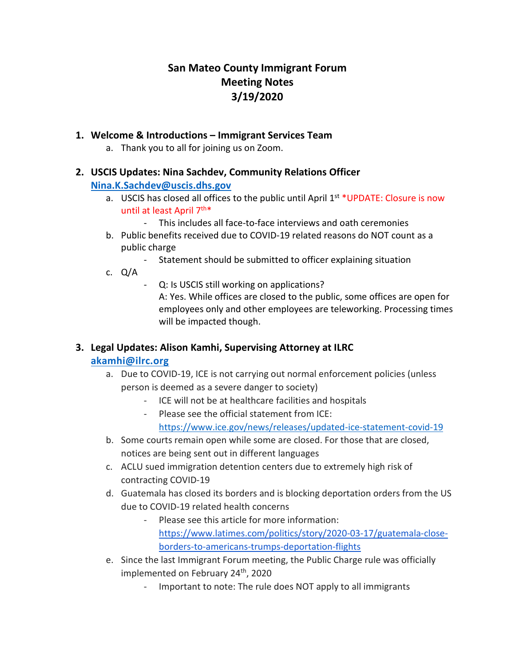# **San Mateo County Immigrant Forum Meeting Notes 3/19/2020**

## **1. Welcome & Introductions – Immigrant Services Team**

a. Thank you to all for joining us on Zoom.

#### **2. USCIS Updates: Nina Sachdev, Community Relations Officer**

#### **[Nina.K.Sachdev@uscis.dhs.gov](mailto:Nina.K.Sachdev@uscis.dhs.gov)**

- a. USCIS has closed all offices to the public until April  $1<sup>st</sup>$  UPDATE: Closure is now until at least April 7<sup>th\*</sup>
	- This includes all face-to-face interviews and oath ceremonies
- b. Public benefits received due to COVID-19 related reasons do NOT count as a public charge
	- Statement should be submitted to officer explaining situation
- c. Q/A
	- Q: Is USCIS still working on applications?
		- A: Yes. While offices are closed to the public, some offices are open for employees only and other employees are teleworking. Processing times will be impacted though.

## **3. Legal Updates: Alison Kamhi, Supervising Attorney at ILRC**

## **[akamhi@ilrc.org](mailto:akamhi@ilrc.org)**

- a. Due to COVID-19, ICE is not carrying out normal enforcement policies (unless person is deemed as a severe danger to society)
	- ICE will not be at healthcare facilities and hospitals
	- Please see the official statement from ICE: <https://www.ice.gov/news/releases/updated-ice-statement-covid-19>
- b. Some courts remain open while some are closed. For those that are closed, notices are being sent out in different languages
- c. ACLU sued immigration detention centers due to extremely high risk of contracting COVID-19
- d. Guatemala has closed its borders and is blocking deportation orders from the US due to COVID-19 related health concerns
	- Please see this article for more information: [https://www.latimes.com/politics/story/2020-03-17/guatemala-close](https://nam04.safelinks.protection.outlook.com/?url=https%3A%2F%2Fwww.latimes.com%2Fpolitics%2Fstory%2F2020-03-17%2Fguatemala-close-borders-to-americans-trumps-deportation-flights&data=01%7C01%7Cakamhi%40ilrc.org%7Ce4e5fdc1326d44683b8708d7cb65b81f%7C65f3baaec6af46b4b5b522362a12fc55%7C0&sdata=pCI0Z14vn%2FBo33Gzwjp7htVWSgpWT89K4lPao5oURXU%3D&reserved=0)[borders-to-americans-trumps-deportation-flights](https://nam04.safelinks.protection.outlook.com/?url=https%3A%2F%2Fwww.latimes.com%2Fpolitics%2Fstory%2F2020-03-17%2Fguatemala-close-borders-to-americans-trumps-deportation-flights&data=01%7C01%7Cakamhi%40ilrc.org%7Ce4e5fdc1326d44683b8708d7cb65b81f%7C65f3baaec6af46b4b5b522362a12fc55%7C0&sdata=pCI0Z14vn%2FBo33Gzwjp7htVWSgpWT89K4lPao5oURXU%3D&reserved=0)
- e. Since the last Immigrant Forum meeting, the Public Charge rule was officially implemented on February 24<sup>th</sup>, 2020
	- Important to note: The rule does NOT apply to all immigrants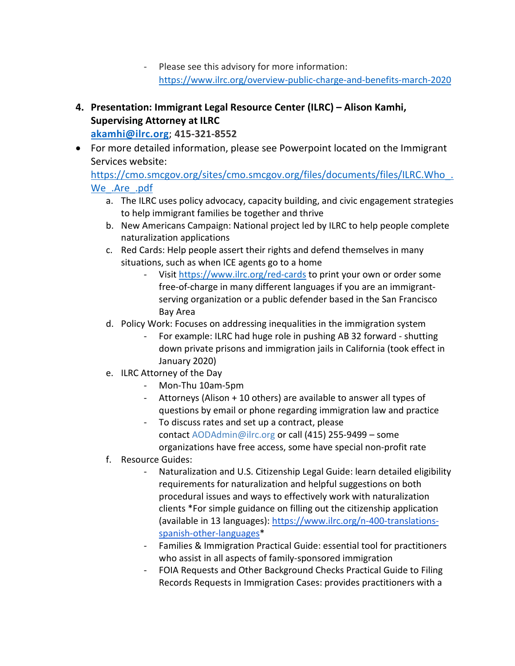- Please see this advisory for more information: <https://www.ilrc.org/overview-public-charge-and-benefits-march-2020>
- **4. Presentation: Immigrant Legal Resource Center (ILRC) – Alison Kamhi, Supervising Attorney at ILRC [akamhi@ilrc.org](mailto:akamhi@ilrc.org)**; **415-321-8552**
- For more detailed information, please see Powerpoint located on the Immigrant Services website:

https://cmo.smcgov.org/sites/cmo.smcgov.org/files/documents/files/ILRC.Who. [We\\_.Are\\_.pdf](https://cmo.smcgov.org/sites/cmo.smcgov.org/files/documents/files/ILRC.Who_.We_.Are_.pdf)

- a. The ILRC uses policy advocacy, capacity building, and civic engagement strategies to help immigrant families be together and thrive
- b. New Americans Campaign: National project led by ILRC to help people complete naturalization applications
- c. Red Cards: Help people assert their rights and defend themselves in many situations, such as when ICE agents go to a home
	- Visi[t https://www.ilrc.org/red-cards](https://www.ilrc.org/red-cards) to print your own or order some free-of-charge in many different languages if you are an immigrantserving organization or a public defender based in the San Francisco Bay Area
- d. Policy Work: Focuses on addressing inequalities in the immigration system
	- For example: ILRC had huge role in pushing AB 32 forward shutting down private prisons and immigration jails in California (took effect in January 2020)
- e. ILRC Attorney of the Day
	- Mon-Thu 10am-5pm
	- Attorneys (Alison + 10 others) are available to answer all types of questions by email or phone regarding immigration law and practice
	- To discuss rates and set up a contract, please contact [AODAdmin@ilrc.org](mailto:AODAdmin@ilrc.org) or call (415) 255-9499 – some organizations have free access, some have special non-profit rate
- f. Resource Guides:
	- Naturalization and U.S. Citizenship Legal Guide: learn detailed eligibility requirements for naturalization and helpful suggestions on both procedural issues and ways to effectively work with naturalization clients \*For simple guidance on filling out the citizenship application (available in 13 languages): [https://www.ilrc.org/n-400-translations](https://www.ilrc.org/n-400-translations-spanish-other-languages)[spanish-other-languages\\*](https://www.ilrc.org/n-400-translations-spanish-other-languages)
	- Families & Immigration Practical Guide: essential tool for practitioners who assist in all aspects of family-sponsored immigration
	- FOIA Requests and Other Background Checks Practical Guide to Filing Records Requests in Immigration Cases: provides practitioners with a